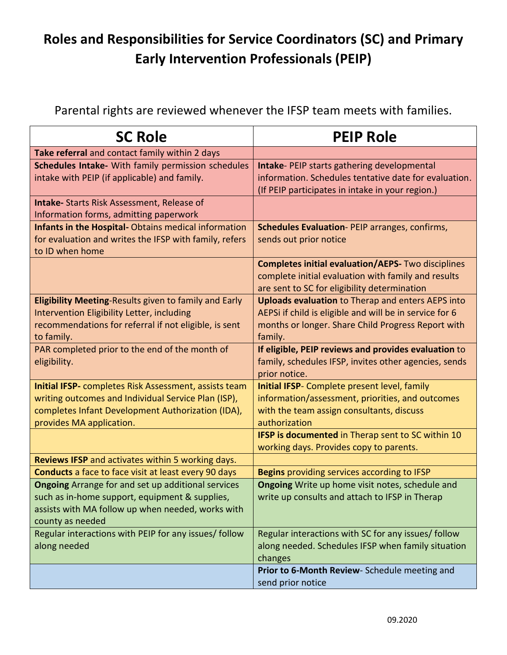## **Roles and Responsibilities for Service Coordinators (SC) and Primary Early Intervention Professionals (PEIP)**

Parental rights are reviewed whenever the IFSP team meets with families.

| <b>SC Role</b>                                                                                              | <b>PEIP Role</b>                                                                                           |
|-------------------------------------------------------------------------------------------------------------|------------------------------------------------------------------------------------------------------------|
| Take referral and contact family within 2 days                                                              |                                                                                                            |
| Schedules Intake- With family permission schedules<br>intake with PEIP (if applicable) and family.          | <b>Intake-PEIP starts gathering developmental</b><br>information. Schedules tentative date for evaluation. |
|                                                                                                             | (If PEIP participates in intake in your region.)                                                           |
| <b>Intake-</b> Starts Risk Assessment, Release of                                                           |                                                                                                            |
| Information forms, admitting paperwork<br>Infants in the Hospital-Obtains medical information               |                                                                                                            |
| for evaluation and writes the IFSP with family, refers<br>to ID when home                                   | <b>Schedules Evaluation-PEIP arranges, confirms,</b><br>sends out prior notice                             |
|                                                                                                             | <b>Completes initial evaluation/AEPS- Two disciplines</b>                                                  |
|                                                                                                             | complete initial evaluation with family and results<br>are sent to SC for eligibility determination        |
| Eligibility Meeting-Results given to family and Early                                                       | <b>Uploads evaluation to Therap and enters AEPS into</b>                                                   |
| Intervention Eligibility Letter, including                                                                  | AEPSi if child is eligible and will be in service for 6                                                    |
| recommendations for referral if not eligible, is sent                                                       | months or longer. Share Child Progress Report with                                                         |
| to family.                                                                                                  | family.                                                                                                    |
| PAR completed prior to the end of the month of                                                              | If eligible, PEIP reviews and provides evaluation to                                                       |
| eligibility.                                                                                                | family, schedules IFSP, invites other agencies, sends<br>prior notice.                                     |
| <b>Initial IFSP-</b> completes Risk Assessment, assists team                                                | Initial IFSP- Complete present level, family                                                               |
| writing outcomes and Individual Service Plan (ISP),                                                         | information/assessment, priorities, and outcomes                                                           |
| completes Infant Development Authorization (IDA),                                                           | with the team assign consultants, discuss                                                                  |
| provides MA application.                                                                                    | authorization                                                                                              |
|                                                                                                             | IFSP is documented in Therap sent to SC within 10                                                          |
|                                                                                                             | working days. Provides copy to parents.                                                                    |
| Reviews IFSP and activates within 5 working days.                                                           |                                                                                                            |
| <b>Conducts</b> a face to face visit at least every 90 days                                                 | <b>Begins</b> providing services according to IFSP<br>Ongoing Write up home visit notes, schedule and      |
| <b>Ongoing</b> Arrange for and set up additional services<br>such as in-home support, equipment & supplies, | write up consults and attach to IFSP in Therap                                                             |
| assists with MA follow up when needed, works with                                                           |                                                                                                            |
| county as needed                                                                                            |                                                                                                            |
| Regular interactions with PEIP for any issues/ follow                                                       | Regular interactions with SC for any issues/ follow                                                        |
| along needed                                                                                                | along needed. Schedules IFSP when family situation                                                         |
|                                                                                                             | changes                                                                                                    |
|                                                                                                             | Prior to 6-Month Review- Schedule meeting and                                                              |
|                                                                                                             | send prior notice                                                                                          |